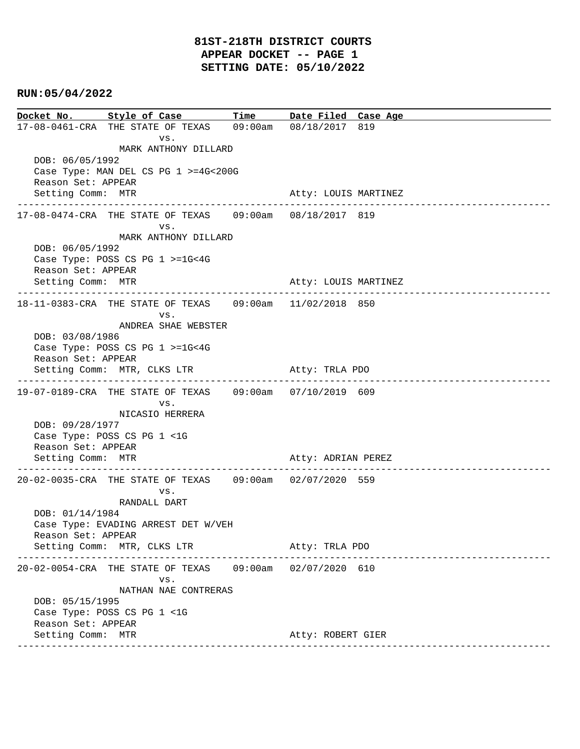## **RUN:05/04/2022**

**Docket No. Style of Case Time Date Filed Case Age**  17-08-0461-CRA THE STATE OF TEXAS 09:00am 08/18/2017 819 vs. MARK ANTHONY DILLARD DOB: 06/05/1992 Case Type: MAN DEL CS PG 1 >=4G<200G Reason Set: APPEAR Setting Comm: MTR Atty: LOUIS MARTINEZ ---------------------------------------------------------------------------------------------- 17-08-0474-CRA THE STATE OF TEXAS 09:00am 08/18/2017 819 vs. MARK ANTHONY DILLARD DOB: 06/05/1992 Case Type: POSS CS PG 1 >=1G<4G Reason Set: APPEAR Setting Comm: MTR Atty: LOUIS MARTINEZ ---------------------------------------------------------------------------------------------- 18-11-0383-CRA THE STATE OF TEXAS 09:00am 11/02/2018 850 vs. ANDREA SHAE WEBSTER DOB: 03/08/1986 Case Type: POSS CS PG 1 >=1G<4G Reason Set: APPEAR Setting Comm: MTR, CLKS LTR Atty: TRLA PDO ---------------------------------------------------------------------------------------------- 19-07-0189-CRA THE STATE OF TEXAS 09:00am 07/10/2019 609 vs. NICASIO HERRERA DOB: 09/28/1977 Case Type: POSS CS PG 1 <1G Reason Set: APPEAR Setting Comm: MTR **Atty: ADRIAN PEREZ** ---------------------------------------------------------------------------------------------- 20-02-0035-CRA THE STATE OF TEXAS 09:00am 02/07/2020 559 vs. RANDALL DART DOB: 01/14/1984 Case Type: EVADING ARREST DET W/VEH Reason Set: APPEAR Setting Comm: MTR, CLKS LTR Atty: TRLA PDO ---------------------------------------------------------------------------------------------- 20-02-0054-CRA THE STATE OF TEXAS 09:00am 02/07/2020 610 vs. NATHAN NAE CONTRERAS DOB: 05/15/1995 Case Type: POSS CS PG 1 <1G Reason Set: APPEAR Setting Comm: MTR **Atty: ROBERT GIER** Atty: ROBERT GIER ----------------------------------------------------------------------------------------------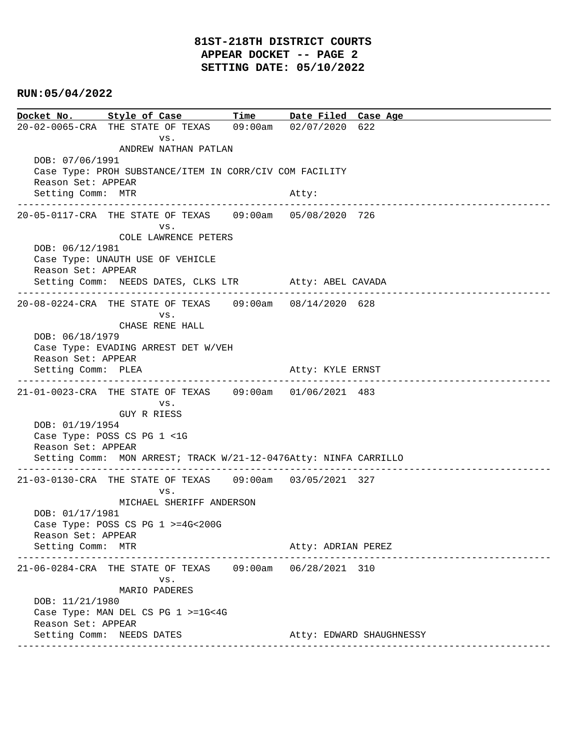# **81ST-218TH DISTRICT COURTS APPEAR DOCKET -- PAGE 2 SETTING DATE: 05/10/2022**

## **RUN:05/04/2022**

**Docket No. Style of Case Time Date Filed Case Age**  20-02-0065-CRA THE STATE OF TEXAS 09:00am 02/07/2020 622 vs. ANDREW NATHAN PATLAN DOB: 07/06/1991 Case Type: PROH SUBSTANCE/ITEM IN CORR/CIV COM FACILITY Reason Set: APPEAR Setting Comm: MTR Atty: ---------------------------------------------------------------------------------------------- 20-05-0117-CRA THE STATE OF TEXAS 09:00am 05/08/2020 726 vs. COLE LAWRENCE PETERS DOB: 06/12/1981 Case Type: UNAUTH USE OF VEHICLE Reason Set: APPEAR Setting Comm: NEEDS DATES, CLKS LTR Atty: ABEL CAVADA ---------------------------------------------------------------------------------------------- 20-08-0224-CRA THE STATE OF TEXAS 09:00am 08/14/2020 628 vs. CHASE RENE HALL DOB: 06/18/1979 Case Type: EVADING ARREST DET W/VEH Reason Set: APPEAR Setting Comm: PLEA Atty: KYLE ERNST ---------------------------------------------------------------------------------------------- 21-01-0023-CRA THE STATE OF TEXAS 09:00am 01/06/2021 483 vs. GUY R RIESS DOB: 01/19/1954 Case Type: POSS CS PG 1 <1G Reason Set: APPEAR Setting Comm: MON ARREST; TRACK W/21-12-0476Atty: NINFA CARRILLO ---------------------------------------------------------------------------------------------- 21-03-0130-CRA THE STATE OF TEXAS 09:00am 03/05/2021 327 vs. MICHAEL SHERIFF ANDERSON DOB: 01/17/1981 Case Type: POSS CS PG 1 >=4G<200G Reason Set: APPEAR Setting Comm: MTR Atty: ADRIAN PEREZ ---------------------------------------------------------------------------------------------- 21-06-0284-CRA THE STATE OF TEXAS 09:00am 06/28/2021 310 vs. MARIO PADERES DOB: 11/21/1980 Case Type: MAN DEL CS PG 1 >=1G<4G Reason Set: APPEAR Setting Comm: NEEDS DATES Atty: EDWARD SHAUGHNESSY ----------------------------------------------------------------------------------------------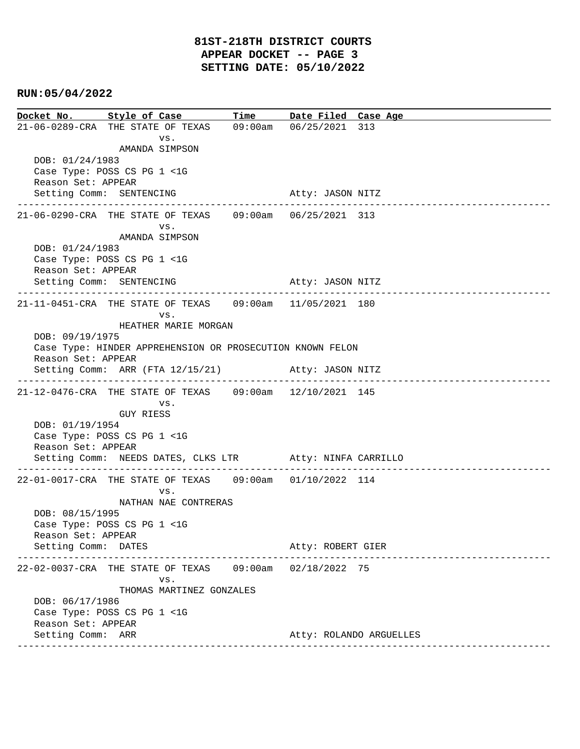## **RUN:05/04/2022**

**Docket No. Style of Case Time Date Filed Case Age**  21-06-0289-CRA THE STATE OF TEXAS 09:00am 06/25/2021 313 vs. AMANDA SIMPSON DOB: 01/24/1983 Case Type: POSS CS PG 1 <1G Reason Set: APPEAR Setting Comm: SENTENCING Atty: JASON NITZ ---------------------------------------------------------------------------------------------- 21-06-0290-CRA THE STATE OF TEXAS 09:00am 06/25/2021 313 vs. AMANDA SIMPSON DOB: 01/24/1983 Case Type: POSS CS PG 1 <1G Reason Set: APPEAR Setting Comm: SENTENCING Atty: JASON NITZ ---------------------------------------------------------------------------------------------- 21-11-0451-CRA THE STATE OF TEXAS 09:00am 11/05/2021 180 vs. HEATHER MARIE MORGAN DOB: 09/19/1975 Case Type: HINDER APPREHENSION OR PROSECUTION KNOWN FELON Reason Set: APPEAR Setting Comm: ARR (FTA 12/15/21) Atty: JASON NITZ ---------------------------------------------------------------------------------------------- 21-12-0476-CRA THE STATE OF TEXAS 09:00am 12/10/2021 145 vs. GUY RIESS DOB: 01/19/1954 Case Type: POSS CS PG 1 <1G Reason Set: APPEAR Setting Comm: NEEDS DATES, CLKS LTR Atty: NINFA CARRILLO ---------------------------------------------------------------------------------------------- 22-01-0017-CRA THE STATE OF TEXAS 09:00am 01/10/2022 114 vs. NATHAN NAE CONTRERAS DOB: 08/15/1995 Case Type: POSS CS PG 1 <1G Reason Set: APPEAR Setting Comm: DATES Atty: ROBERT GIER ---------------------------------------------------------------------------------------------- 22-02-0037-CRA THE STATE OF TEXAS 09:00am 02/18/2022 75 vs. THOMAS MARTINEZ GONZALES DOB: 06/17/1986 Case Type: POSS CS PG 1 <1G Reason Set: APPEAR Setting Comm: ARR Atty: ROLANDO ARGUELLES ----------------------------------------------------------------------------------------------